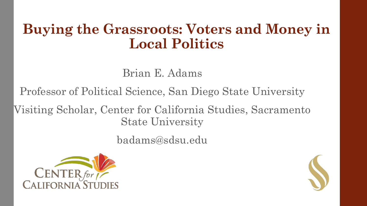#### **Buying the Grassroots: Voters and Money in Local Politics**

#### Brian E. Adams

Professor of Political Science, San Diego State University

Visiting Scholar, Center for California Studies, Sacramento State University

badams@sdsu.edu



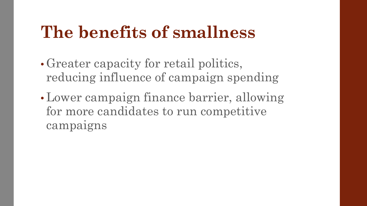## **The benefits of smallness**

- Greater capacity for retail politics, reducing influence of campaign spending
- Lower campaign finance barrier, allowing for more candidates to run competitive campaigns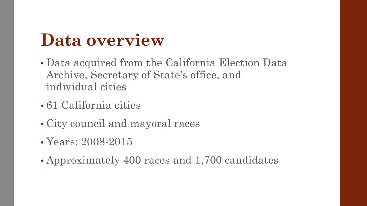# **Data overview**

- Data acquired from the California Election Data Archive, Secretary of State's office, and individual cities
- 61 California cities
- City council and mayoral races
- Years: 2008-2015
- Approximately 400 races and 1,700 candidates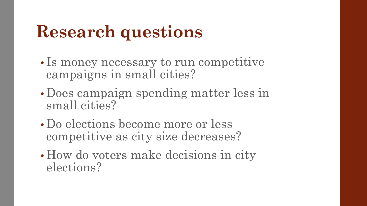# **Research questions**

- Is money necessary to run competitive campaigns in small cities?
- Does campaign spending matter less in small cities?
- Do elections become more or less competitive as city size decreases?
- How do voters make decisions in city elections?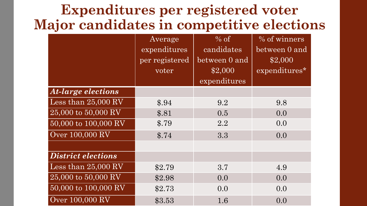#### **Expenditures per registered voter Major candidates in competitive elections**

|                           | Average<br>expenditures<br>per registered<br>$\overline{\text{voter}}$ | $%$ of<br>candidates<br>between 0 and<br>\$2,000 | % of winners<br>between 0 and<br>\$2,000<br>expenditures* |
|---------------------------|------------------------------------------------------------------------|--------------------------------------------------|-----------------------------------------------------------|
|                           |                                                                        | expenditures                                     |                                                           |
| <b>At-large elections</b> |                                                                        |                                                  |                                                           |
| Less than $25,000$ RV     | \$.94                                                                  | 9.2                                              | 9.8                                                       |
| 25,000 to 50,000 RV       | \$.81                                                                  | 0.5                                              | 0.0                                                       |
| 50,000 to 100,000 RV      | \$.79                                                                  | 2.2                                              | 0.0                                                       |
| Over 100,000 RV           | \$.74                                                                  | 3.3                                              | 0.0                                                       |
|                           |                                                                        |                                                  |                                                           |
| <b>District elections</b> |                                                                        |                                                  |                                                           |
| Less than $25,000$ RV     | \$2.79                                                                 | 3.7                                              | 4.9                                                       |
| 25,000 to 50,000 RV       | \$2.98                                                                 | 0.0                                              | 0.0                                                       |
| 50,000 to 100,000 RV      | \$2.73                                                                 | 0.0                                              | 0.0                                                       |
| Over 100,000 RV           | \$3.53                                                                 | 1.6                                              | 0.0                                                       |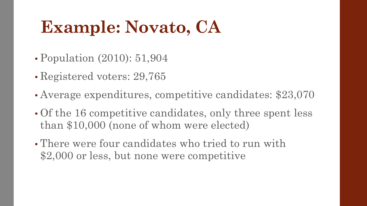# **Example: Novato, CA**

- Population (2010): 51,904
- Registered voters: 29,765
- Average expenditures, competitive candidates: \$23,070
- Of the 16 competitive candidates, only three spent less than \$10,000 (none of whom were elected)
- There were four candidates who tried to run with \$2,000 or less, but none were competitive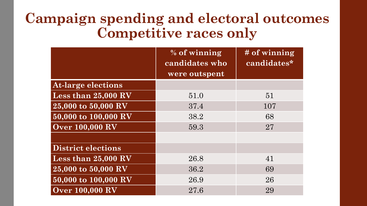#### **Campaign spending and electoral outcomes Competitive races only**

|                           | % of winning<br>candidates who | # of winning<br>candidates* |
|---------------------------|--------------------------------|-----------------------------|
|                           | were outspent                  |                             |
| <b>At-large elections</b> |                                |                             |
| Less than 25,000 RV       | 51.0                           | 51                          |
| 25,000 to 50,000 RV       | 37.4                           | 107                         |
| 50,000 to 100,000 RV      | 38.2                           | 68                          |
| <b>Over 100,000 RV</b>    | 59.3                           | 27                          |
|                           |                                |                             |
| <b>District elections</b> |                                |                             |
| Less than 25,000 RV       | 26.8                           | 41                          |
| 25,000 to 50,000 RV       | 36.2                           | 69                          |
| 50,000 to 100,000 RV      | 26.9                           | 26                          |
| <b>Over 100,000 RV</b>    | 27.6                           | 29                          |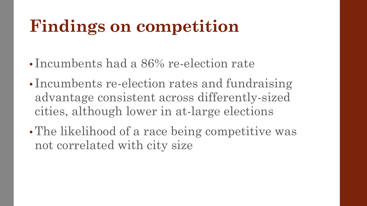# **Findings on competition**

- Incumbents had a 86% re-election rate
- Incumbents re-election rates and fundraising advantage consistent across differently-sized cities, although lower in at-large elections
- The likelihood of a race being competitive was not correlated with city size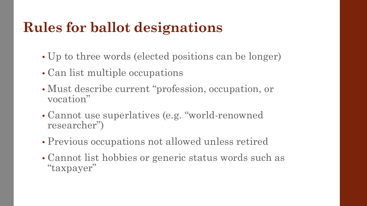## **Rules for ballot designations**

- Up to three words (elected positions can be longer)
- Can list multiple occupations
- Must describe current "profession, occupation, or vocation"
- Cannot use superlatives (e.g. "world-renowned researcher")
- Previous occupations not allowed unless retired
- Cannot list hobbies or generic status words such as "taxpayer"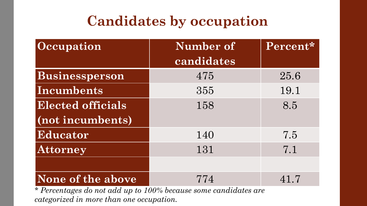## **Candidates by occupation**

| Occupation               | Number of  | Percent* |
|--------------------------|------------|----------|
|                          | candidates |          |
| Businessperson           | 475        | 25.6     |
| Incumbents               | 355        | 19.1     |
| <b>Elected officials</b> | 158        | 8.5      |
| (not incumbents)         |            |          |
| Educator                 | 140        | 7.5      |
| Attorney                 | 131        | 7.1      |
|                          |            |          |
| None of the above        | 774        | 41.7     |

*\* Percentages do not add up to 100% because some candidates are categorized in more than one occupation.*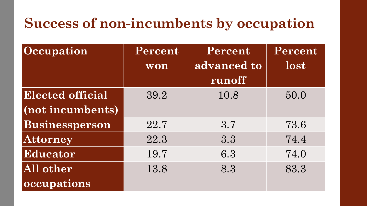## **Success of non-incumbents by occupation**

| <b>Occupation</b>       | Percent | Percent               | Percent |
|-------------------------|---------|-----------------------|---------|
|                         | won     | advanced to<br>runoff | lost    |
| <b>Elected official</b> | 39.2    | 10.8                  | 50.0    |
| (not incumbents)        |         |                       |         |
| Businessperson          | 22.7    | 3.7                   | 73.6    |
| <b>Attorney</b>         | 22.3    | 3.3                   | 74.4    |
| Educator                | 19.7    | 6.3                   | 74.0    |
| All other               | 13.8    | 8.3                   | 83.3    |
| occupations             |         |                       |         |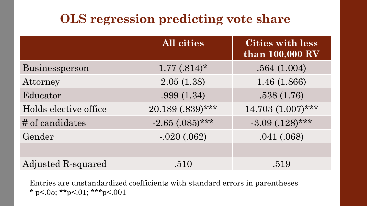#### **OLS regression predicting vote share**

|                       | All cities           | <b>Cities with less</b><br>than 100,000 RV |
|-----------------------|----------------------|--------------------------------------------|
| Businessperson        | $1.77(.814)^*$       | .564(1.004)                                |
| Attorney              | 2.05(1.38)           | 1.46 (1.866)                               |
| Educator              | .999(1.34)           | .538(1.76)                                 |
| Holds elective office | 20.189 (.839)***     | $14.703(1.007)$ ***                        |
| # of candidates       | $-2.65$ $(.085)$ *** | $-3.09$ $(.128)$ ***                       |
| Gender                | $-.020(.062)$        | .041(.068)                                 |
|                       |                      |                                            |
| Adjusted R-squared    | .510                 | .519                                       |

Entries are unstandardized coefficients with standard errors in parentheses \* p<.05; \*\*p<.01; \*\*\*p<.001